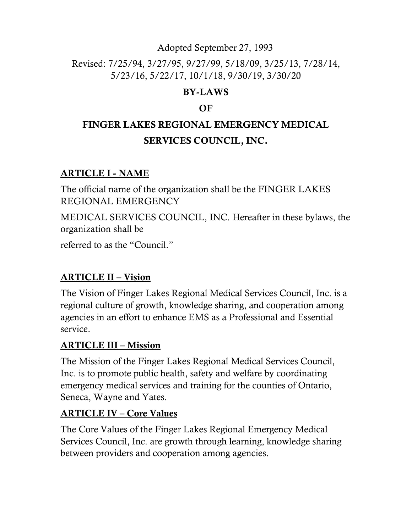#### Adopted September 27, 1993

### Revised: 7/25/94, 3/27/95, 9/27/99, 5/18/09, 3/25/13, 7/28/14, 5/23/16, 5/22/17, 10/1/18, 9/30/19, 3/30/20

### BY-LAWS

### **OF**

# FINGER LAKES REGIONAL EMERGENCY MEDICAL SERVICES COUNCIL, INC.

### ARTICLE I - NAME

The official name of the organization shall be the FINGER LAKES REGIONAL EMERGENCY

MEDICAL SERVICES COUNCIL, INC. Hereafter in these bylaws, the organization shall be

referred to as the "Council."

### ARTICLE II – Vision

The Vision of Finger Lakes Regional Medical Services Council, Inc. is a regional culture of growth, knowledge sharing, and cooperation among agencies in an effort to enhance EMS as a Professional and Essential service.

### ARTICLE III – Mission

The Mission of the Finger Lakes Regional Medical Services Council, Inc. is to promote public health, safety and welfare by coordinating emergency medical services and training for the counties of Ontario, Seneca, Wayne and Yates.

### ARTICLE IV – Core Values

The Core Values of the Finger Lakes Regional Emergency Medical Services Council, Inc. are growth through learning, knowledge sharing between providers and cooperation among agencies.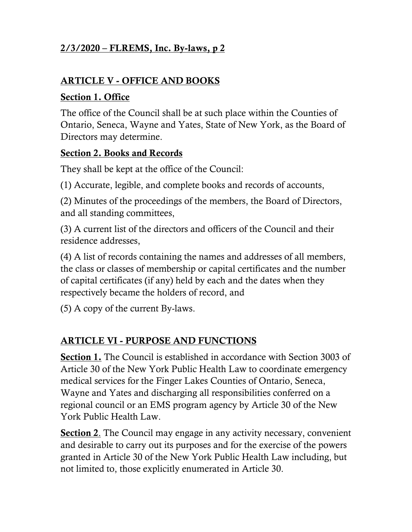### ARTICLE V - OFFICE AND BOOKS

#### Section 1. Office

The office of the Council shall be at such place within the Counties of Ontario, Seneca, Wayne and Yates, State of New York, as the Board of Directors may determine.

#### Section 2. Books and Records

They shall be kept at the office of the Council:

(1) Accurate, legible, and complete books and records of accounts,

(2) Minutes of the proceedings of the members, the Board of Directors, and all standing committees,

(3) A current list of the directors and officers of the Council and their residence addresses,

(4) A list of records containing the names and addresses of all members, the class or classes of membership or capital certificates and the number of capital certificates (if any) held by each and the dates when they respectively became the holders of record, and

(5) A copy of the current By-laws.

### ARTICLE VI - PURPOSE AND FUNCTIONS

Section 1. The Council is established in accordance with Section 3003 of Article 30 of the New York Public Health Law to coordinate emergency medical services for the Finger Lakes Counties of Ontario, Seneca, Wayne and Yates and discharging all responsibilities conferred on a regional council or an EMS program agency by Article 30 of the New York Public Health Law.

Section 2. The Council may engage in any activity necessary, convenient and desirable to carry out its purposes and for the exercise of the powers granted in Article 30 of the New York Public Health Law including, but not limited to, those explicitly enumerated in Article 30.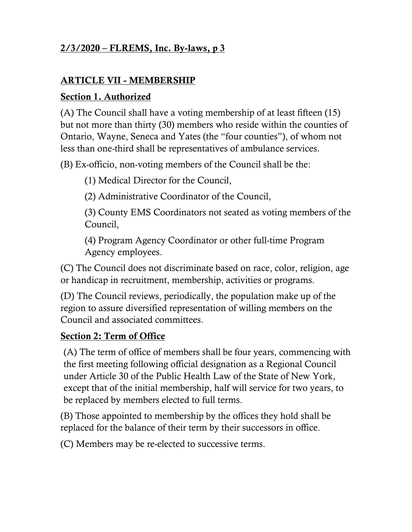### ARTICLE VII - MEMBERSHIP

#### Section 1. Authorized

(A) The Council shall have a voting membership of at least fifteen (15) but not more than thirty (30) members who reside within the counties of Ontario, Wayne, Seneca and Yates (the "four counties"), of whom not less than one-third shall be representatives of ambulance services.

(B) Ex-officio, non-voting members of the Council shall be the:

(1) Medical Director for the Council,

(2) Administrative Coordinator of the Council,

(3) County EMS Coordinators not seated as voting members of the Council,

(4) Program Agency Coordinator or other full-time Program Agency employees.

(C) The Council does not discriminate based on race, color, religion, age or handicap in recruitment, membership, activities or programs.

(D) The Council reviews, periodically, the population make up of the region to assure diversified representation of willing members on the Council and associated committees.

#### Section 2: Term of Office

(A) The term of office of members shall be four years, commencing with the first meeting following official designation as a Regional Council under Article 30 of the Public Health Law of the State of New York, except that of the initial membership, half will service for two years, to be replaced by members elected to full terms.

(B) Those appointed to membership by the offices they hold shall be replaced for the balance of their term by their successors in office.

(C) Members may be re-elected to successive terms.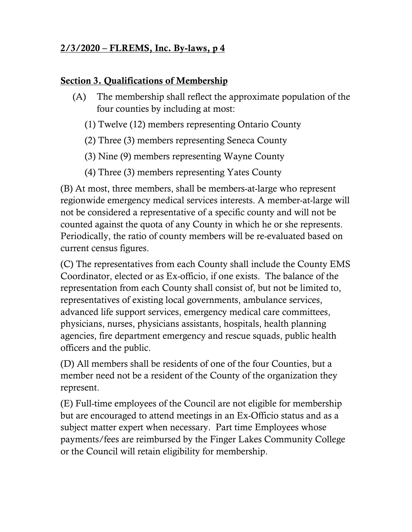#### Section 3. Qualifications of Membership

- (A) The membership shall reflect the approximate population of the four counties by including at most:
	- (1) Twelve (12) members representing Ontario County
	- (2) Three (3) members representing Seneca County
	- (3) Nine (9) members representing Wayne County
	- (4) Three (3) members representing Yates County

(B) At most, three members, shall be members-at-large who represent regionwide emergency medical services interests. A member-at-large will not be considered a representative of a specific county and will not be counted against the quota of any County in which he or she represents. Periodically, the ratio of county members will be re-evaluated based on current census figures.

(C) The representatives from each County shall include the County EMS Coordinator, elected or as Ex-officio, if one exists. The balance of the representation from each County shall consist of, but not be limited to, representatives of existing local governments, ambulance services, advanced life support services, emergency medical care committees, physicians, nurses, physicians assistants, hospitals, health planning agencies, fire department emergency and rescue squads, public health officers and the public.

(D) All members shall be residents of one of the four Counties, but a member need not be a resident of the County of the organization they represent.

(E) Full-time employees of the Council are not eligible for membership but are encouraged to attend meetings in an Ex-Officio status and as a subject matter expert when necessary. Part time Employees whose payments/fees are reimbursed by the Finger Lakes Community College or the Council will retain eligibility for membership.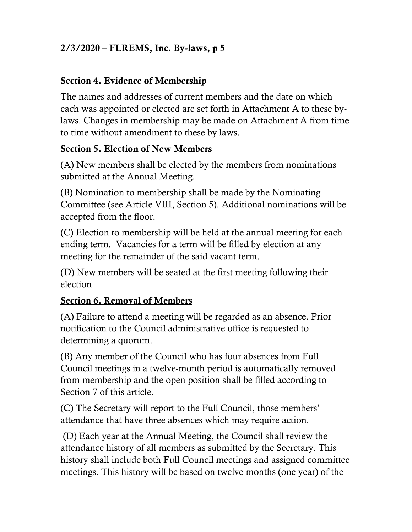#### Section 4. Evidence of Membership

The names and addresses of current members and the date on which each was appointed or elected are set forth in Attachment A to these bylaws. Changes in membership may be made on Attachment A from time to time without amendment to these by laws.

#### Section 5. Election of New Members

(A) New members shall be elected by the members from nominations submitted at the Annual Meeting.

(B) Nomination to membership shall be made by the Nominating Committee (see Article VIII, Section 5). Additional nominations will be accepted from the floor.

(C) Election to membership will be held at the annual meeting for each ending term. Vacancies for a term will be filled by election at any meeting for the remainder of the said vacant term.

(D) New members will be seated at the first meeting following their election.

#### Section 6. Removal of Members

(A) Failure to attend a meeting will be regarded as an absence. Prior notification to the Council administrative office is requested to determining a quorum.

(B) Any member of the Council who has four absences from Full Council meetings in a twelve-month period is automatically removed from membership and the open position shall be filled according to Section 7 of this article.

(C) The Secretary will report to the Full Council, those members' attendance that have three absences which may require action.

(D) Each year at the Annual Meeting, the Council shall review the attendance history of all members as submitted by the Secretary. This history shall include both Full Council meetings and assigned committee meetings. This history will be based on twelve months (one year) of the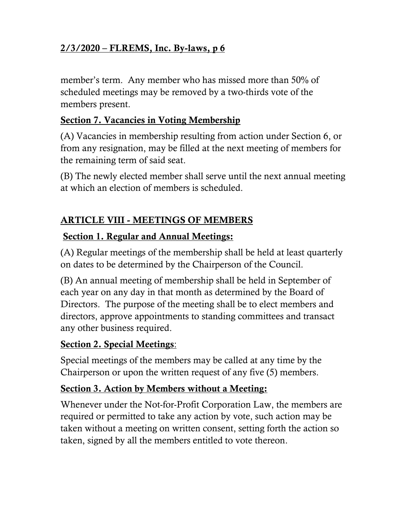member's term. Any member who has missed more than 50% of scheduled meetings may be removed by a two-thirds vote of the members present.

#### Section 7. Vacancies in Voting Membership

(A) Vacancies in membership resulting from action under Section 6, or from any resignation, may be filled at the next meeting of members for the remaining term of said seat.

(B) The newly elected member shall serve until the next annual meeting at which an election of members is scheduled.

### ARTICLE VIII - MEETINGS OF MEMBERS

#### Section 1. Regular and Annual Meetings:

(A) Regular meetings of the membership shall be held at least quarterly on dates to be determined by the Chairperson of the Council.

(B) An annual meeting of membership shall be held in September of each year on any day in that month as determined by the Board of Directors. The purpose of the meeting shall be to elect members and directors, approve appointments to standing committees and transact any other business required.

### Section 2. Special Meetings:

Special meetings of the members may be called at any time by the Chairperson or upon the written request of any five (5) members.

### Section 3. Action by Members without a Meeting:

Whenever under the Not-for-Profit Corporation Law, the members are required or permitted to take any action by vote, such action may be taken without a meeting on written consent, setting forth the action so taken, signed by all the members entitled to vote thereon.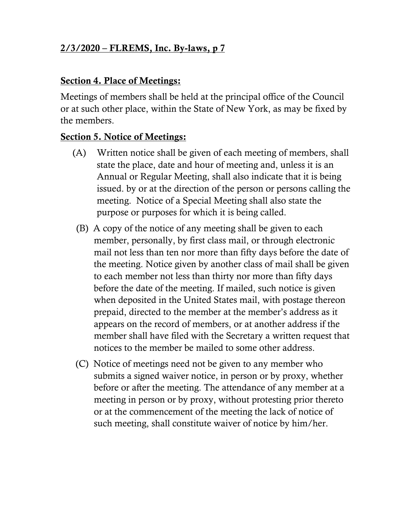#### Section 4. Place of Meetings:

Meetings of members shall be held at the principal office of the Council or at such other place, within the State of New York, as may be fixed by the members.

#### Section 5. Notice of Meetings:

- (A) Written notice shall be given of each meeting of members, shall state the place, date and hour of meeting and, unless it is an Annual or Regular Meeting, shall also indicate that it is being issued. by or at the direction of the person or persons calling the meeting. Notice of a Special Meeting shall also state the purpose or purposes for which it is being called.
- (B) A copy of the notice of any meeting shall be given to each member, personally, by first class mail, or through electronic mail not less than ten nor more than fifty days before the date of the meeting. Notice given by another class of mail shall be given to each member not less than thirty nor more than fifty days before the date of the meeting. If mailed, such notice is given when deposited in the United States mail, with postage thereon prepaid, directed to the member at the member's address as it appears on the record of members, or at another address if the member shall have filed with the Secretary a written request that notices to the member be mailed to some other address.
- (C) Notice of meetings need not be given to any member who submits a signed waiver notice, in person or by proxy, whether before or after the meeting. The attendance of any member at a meeting in person or by proxy, without protesting prior thereto or at the commencement of the meeting the lack of notice of such meeting, shall constitute waiver of notice by him/her.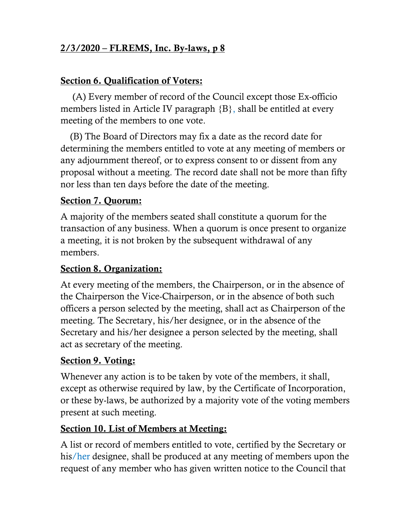#### Section 6. Qualification of Voters:

 (A) Every member of record of the Council except those Ex-officio members listed in Article IV paragraph {B}, shall be entitled at every meeting of the members to one vote.

 (B) The Board of Directors may fix a date as the record date for determining the members entitled to vote at any meeting of members or any adjournment thereof, or to express consent to or dissent from any proposal without a meeting. The record date shall not be more than fifty nor less than ten days before the date of the meeting.

#### Section 7. Quorum:

A majority of the members seated shall constitute a quorum for the transaction of any business. When a quorum is once present to organize a meeting, it is not broken by the subsequent withdrawal of any members.

#### Section 8. Organization:

At every meeting of the members, the Chairperson, or in the absence of the Chairperson the Vice-Chairperson, or in the absence of both such officers a person selected by the meeting, shall act as Chairperson of the meeting. The Secretary, his/her designee, or in the absence of the Secretary and his/her designee a person selected by the meeting, shall act as secretary of the meeting.

#### Section 9. Voting:

Whenever any action is to be taken by vote of the members, it shall, except as otherwise required by law, by the Certificate of Incorporation, or these by-laws, be authorized by a majority vote of the voting members present at such meeting.

#### Section 10. List of Members at Meeting:

A list or record of members entitled to vote, certified by the Secretary or his/her designee, shall be produced at any meeting of members upon the request of any member who has given written notice to the Council that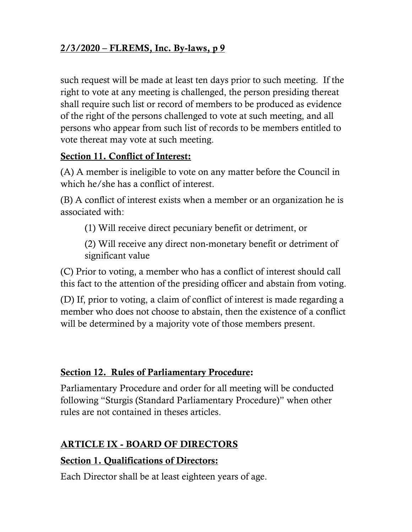such request will be made at least ten days prior to such meeting. If the right to vote at any meeting is challenged, the person presiding thereat shall require such list or record of members to be produced as evidence of the right of the persons challenged to vote at such meeting, and all persons who appear from such list of records to be members entitled to vote thereat may vote at such meeting.

#### Section 11. Conflict of Interest:

(A) A member is ineligible to vote on any matter before the Council in which he/she has a conflict of interest.

(B) A conflict of interest exists when a member or an organization he is associated with:

(1) Will receive direct pecuniary benefit or detriment, or

(2) Will receive any direct non-monetary benefit or detriment of significant value

(C) Prior to voting, a member who has a conflict of interest should call this fact to the attention of the presiding officer and abstain from voting.

(D) If, prior to voting, a claim of conflict of interest is made regarding a member who does not choose to abstain, then the existence of a conflict will be determined by a majority vote of those members present.

### Section 12. Rules of Parliamentary Procedure:

Parliamentary Procedure and order for all meeting will be conducted following "Sturgis (Standard Parliamentary Procedure)" when other rules are not contained in theses articles.

### ARTICLE IX - BOARD OF DIRECTORS

### Section 1. Qualifications of Directors:

Each Director shall be at least eighteen years of age.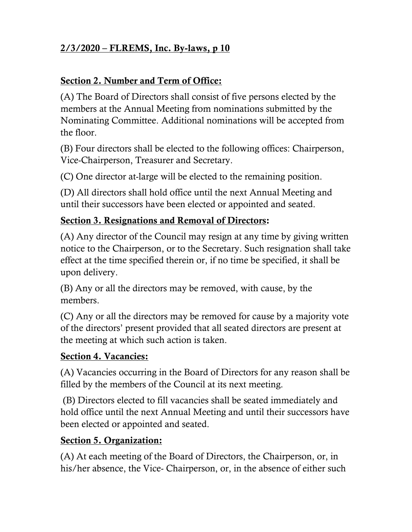### Section 2. Number and Term of Office:

(A) The Board of Directors shall consist of five persons elected by the members at the Annual Meeting from nominations submitted by the Nominating Committee. Additional nominations will be accepted from the floor.

(B) Four directors shall be elected to the following offices: Chairperson, Vice-Chairperson, Treasurer and Secretary.

(C) One director at-large will be elected to the remaining position.

(D) All directors shall hold office until the next Annual Meeting and until their successors have been elected or appointed and seated.

#### Section 3. Resignations and Removal of Directors:

(A) Any director of the Council may resign at any time by giving written notice to the Chairperson, or to the Secretary. Such resignation shall take effect at the time specified therein or, if no time be specified, it shall be upon delivery.

(B) Any or all the directors may be removed, with cause, by the members.

(C) Any or all the directors may be removed for cause by a majority vote of the directors' present provided that all seated directors are present at the meeting at which such action is taken.

#### Section 4. Vacancies:

(A) Vacancies occurring in the Board of Directors for any reason shall be filled by the members of the Council at its next meeting.

(B) Directors elected to fill vacancies shall be seated immediately and hold office until the next Annual Meeting and until their successors have been elected or appointed and seated.

#### Section 5. Organization:

(A) At each meeting of the Board of Directors, the Chairperson, or, in his/her absence, the Vice- Chairperson, or, in the absence of either such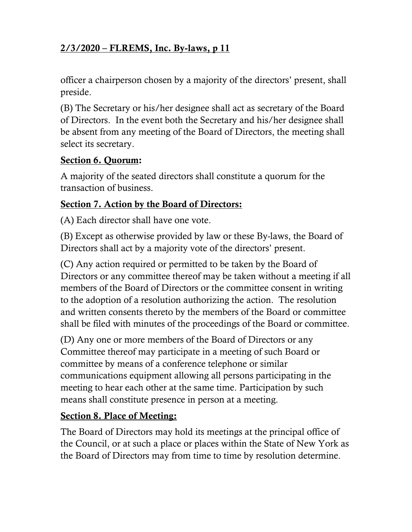officer a chairperson chosen by a majority of the directors' present, shall preside.

(B) The Secretary or his/her designee shall act as secretary of the Board of Directors. In the event both the Secretary and his/her designee shall be absent from any meeting of the Board of Directors, the meeting shall select its secretary.

#### Section 6. Quorum:

A majority of the seated directors shall constitute a quorum for the transaction of business.

#### Section 7. Action by the Board of Directors:

(A) Each director shall have one vote.

(B) Except as otherwise provided by law or these By-laws, the Board of Directors shall act by a majority vote of the directors' present.

(C) Any action required or permitted to be taken by the Board of Directors or any committee thereof may be taken without a meeting if all members of the Board of Directors or the committee consent in writing to the adoption of a resolution authorizing the action. The resolution and written consents thereto by the members of the Board or committee shall be filed with minutes of the proceedings of the Board or committee.

(D) Any one or more members of the Board of Directors or any Committee thereof may participate in a meeting of such Board or committee by means of a conference telephone or similar communications equipment allowing all persons participating in the meeting to hear each other at the same time. Participation by such means shall constitute presence in person at a meeting.

#### Section 8. Place of Meeting:

The Board of Directors may hold its meetings at the principal office of the Council, or at such a place or places within the State of New York as the Board of Directors may from time to time by resolution determine.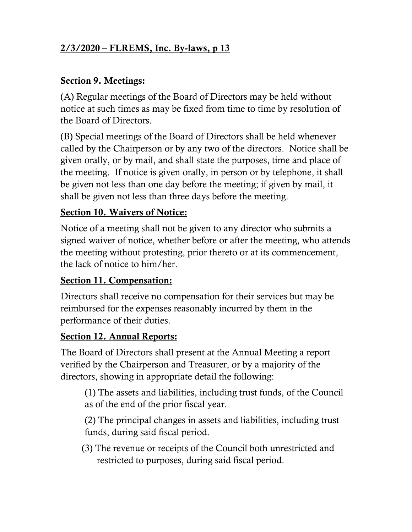#### Section 9. Meetings:

(A) Regular meetings of the Board of Directors may be held without notice at such times as may be fixed from time to time by resolution of the Board of Directors.

(B) Special meetings of the Board of Directors shall be held whenever called by the Chairperson or by any two of the directors. Notice shall be given orally, or by mail, and shall state the purposes, time and place of the meeting. If notice is given orally, in person or by telephone, it shall be given not less than one day before the meeting; if given by mail, it shall be given not less than three days before the meeting.

#### Section 10. Waivers of Notice:

Notice of a meeting shall not be given to any director who submits a signed waiver of notice, whether before or after the meeting, who attends the meeting without protesting, prior thereto or at its commencement, the lack of notice to him/her.

#### Section 11. Compensation:

Directors shall receive no compensation for their services but may be reimbursed for the expenses reasonably incurred by them in the performance of their duties.

#### Section 12. Annual Reports:

The Board of Directors shall present at the Annual Meeting a report verified by the Chairperson and Treasurer, or by a majority of the directors, showing in appropriate detail the following:

(1) The assets and liabilities, including trust funds, of the Council as of the end of the prior fiscal year.

(2) The principal changes in assets and liabilities, including trust funds, during said fiscal period.

(3) The revenue or receipts of the Council both unrestricted and restricted to purposes, during said fiscal period.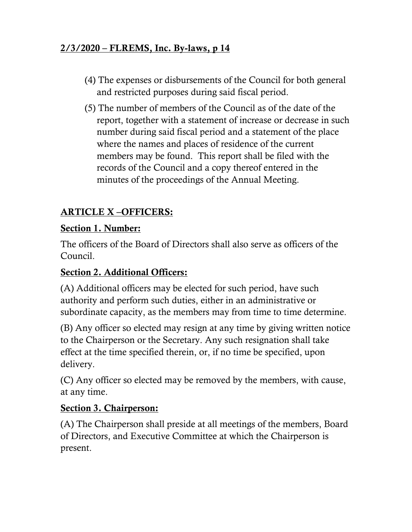- (4) The expenses or disbursements of the Council for both general and restricted purposes during said fiscal period.
- (5) The number of members of the Council as of the date of the report, together with a statement of increase or decrease in such number during said fiscal period and a statement of the place where the names and places of residence of the current members may be found. This report shall be filed with the records of the Council and a copy thereof entered in the minutes of the proceedings of the Annual Meeting.

## ARTICLE X –OFFICERS:

### Section 1. Number:

The officers of the Board of Directors shall also serve as officers of the Council.

### Section 2. Additional Officers:

(A) Additional officers may be elected for such period, have such authority and perform such duties, either in an administrative or subordinate capacity, as the members may from time to time determine.

(B) Any officer so elected may resign at any time by giving written notice to the Chairperson or the Secretary. Any such resignation shall take effect at the time specified therein, or, if no time be specified, upon delivery.

(C) Any officer so elected may be removed by the members, with cause, at any time.

### Section 3. Chairperson:

(A) The Chairperson shall preside at all meetings of the members, Board of Directors, and Executive Committee at which the Chairperson is present.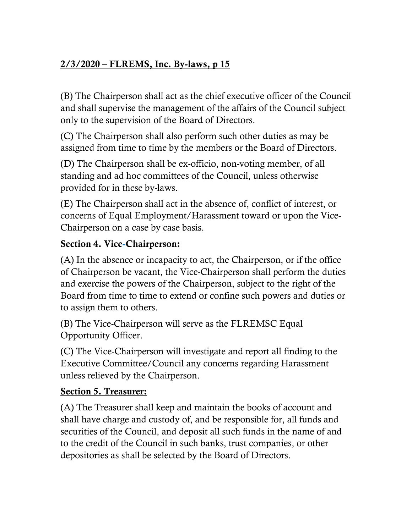(B) The Chairperson shall act as the chief executive officer of the Council and shall supervise the management of the affairs of the Council subject only to the supervision of the Board of Directors.

(C) The Chairperson shall also perform such other duties as may be assigned from time to time by the members or the Board of Directors.

(D) The Chairperson shall be ex-officio, non-voting member, of all standing and ad hoc committees of the Council, unless otherwise provided for in these by-laws.

(E) The Chairperson shall act in the absence of, conflict of interest, or concerns of Equal Employment/Harassment toward or upon the Vice-Chairperson on a case by case basis.

### Section 4. Vice-Chairperson:

(A) In the absence or incapacity to act, the Chairperson, or if the office of Chairperson be vacant, the Vice-Chairperson shall perform the duties and exercise the powers of the Chairperson, subject to the right of the Board from time to time to extend or confine such powers and duties or to assign them to others.

(B) The Vice-Chairperson will serve as the FLREMSC Equal Opportunity Officer.

(C) The Vice-Chairperson will investigate and report all finding to the Executive Committee/Council any concerns regarding Harassment unless relieved by the Chairperson.

### Section 5. Treasurer:

(A) The Treasurer shall keep and maintain the books of account and shall have charge and custody of, and be responsible for, all funds and securities of the Council, and deposit all such funds in the name of and to the credit of the Council in such banks, trust companies, or other depositories as shall be selected by the Board of Directors.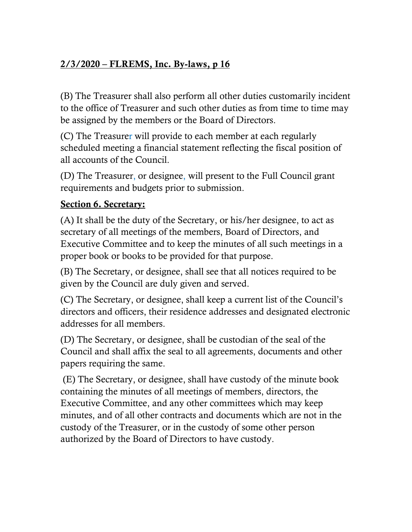(B) The Treasurer shall also perform all other duties customarily incident to the office of Treasurer and such other duties as from time to time may be assigned by the members or the Board of Directors.

(C) The Treasurer will provide to each member at each regularly scheduled meeting a financial statement reflecting the fiscal position of all accounts of the Council.

(D) The Treasurer, or designee, will present to the Full Council grant requirements and budgets prior to submission.

### Section 6. Secretary:

(A) It shall be the duty of the Secretary, or his/her designee, to act as secretary of all meetings of the members, Board of Directors, and Executive Committee and to keep the minutes of all such meetings in a proper book or books to be provided for that purpose.

(B) The Secretary, or designee, shall see that all notices required to be given by the Council are duly given and served.

(C) The Secretary, or designee, shall keep a current list of the Council's directors and officers, their residence addresses and designated electronic addresses for all members.

(D) The Secretary, or designee, shall be custodian of the seal of the Council and shall affix the seal to all agreements, documents and other papers requiring the same.

(E) The Secretary, or designee, shall have custody of the minute book containing the minutes of all meetings of members, directors, the Executive Committee, and any other committees which may keep minutes, and of all other contracts and documents which are not in the custody of the Treasurer, or in the custody of some other person authorized by the Board of Directors to have custody.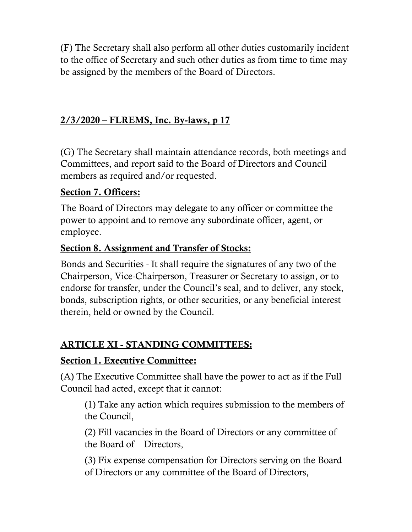(F) The Secretary shall also perform all other duties customarily incident to the office of Secretary and such other duties as from time to time may be assigned by the members of the Board of Directors.

### 2/3/2020 – FLREMS, Inc. By-laws, p 17

(G) The Secretary shall maintain attendance records, both meetings and Committees, and report said to the Board of Directors and Council members as required and/or requested.

### Section 7. Officers:

The Board of Directors may delegate to any officer or committee the power to appoint and to remove any subordinate officer, agent, or employee.

#### Section 8. Assignment and Transfer of Stocks:

Bonds and Securities - It shall require the signatures of any two of the Chairperson, Vice-Chairperson, Treasurer or Secretary to assign, or to endorse for transfer, under the Council's seal, and to deliver, any stock, bonds, subscription rights, or other securities, or any beneficial interest therein, held or owned by the Council.

### ARTICLE XI - STANDING COMMITTEES:

#### Section 1. Executive Committee:

(A) The Executive Committee shall have the power to act as if the Full Council had acted, except that it cannot:

(1) Take any action which requires submission to the members of the Council,

(2) Fill vacancies in the Board of Directors or any committee of the Board of Directors,

(3) Fix expense compensation for Directors serving on the Board of Directors or any committee of the Board of Directors,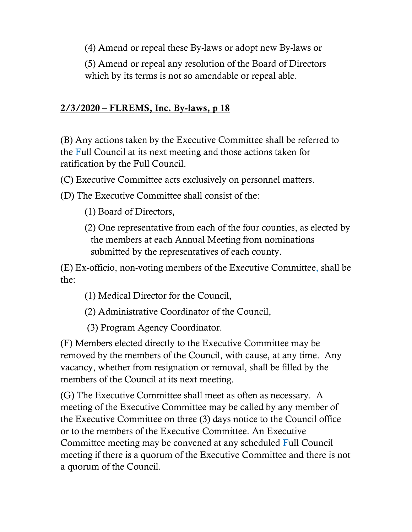(4) Amend or repeal these By-laws or adopt new By-laws or

(5) Amend or repeal any resolution of the Board of Directors which by its terms is not so amendable or repeal able.

### 2/3/2020 – FLREMS, Inc. By-laws, p 18

(B) Any actions taken by the Executive Committee shall be referred to the Full Council at its next meeting and those actions taken for ratification by the Full Council.

(C) Executive Committee acts exclusively on personnel matters.

(D) The Executive Committee shall consist of the:

(1) Board of Directors,

(2) One representative from each of the four counties, as elected by the members at each Annual Meeting from nominations submitted by the representatives of each county.

(E) Ex-officio, non-voting members of the Executive Committee, shall be the:

- (1) Medical Director for the Council,
- (2) Administrative Coordinator of the Council,
- (3) Program Agency Coordinator.

(F) Members elected directly to the Executive Committee may be removed by the members of the Council, with cause, at any time. Any vacancy, whether from resignation or removal, shall be filled by the members of the Council at its next meeting.

(G) The Executive Committee shall meet as often as necessary. A meeting of the Executive Committee may be called by any member of the Executive Committee on three (3) days notice to the Council office or to the members of the Executive Committee. An Executive Committee meeting may be convened at any scheduled Full Council meeting if there is a quorum of the Executive Committee and there is not a quorum of the Council.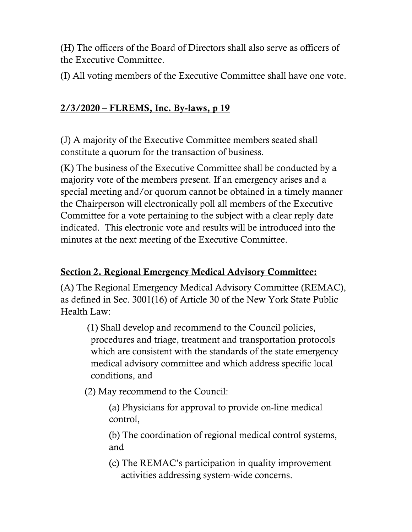(H) The officers of the Board of Directors shall also serve as officers of the Executive Committee.

(I) All voting members of the Executive Committee shall have one vote.

### 2/3/2020 – FLREMS, Inc. By-laws, p 19

(J) A majority of the Executive Committee members seated shall constitute a quorum for the transaction of business.

(K) The business of the Executive Committee shall be conducted by a majority vote of the members present. If an emergency arises and a special meeting and/or quorum cannot be obtained in a timely manner the Chairperson will electronically poll all members of the Executive Committee for a vote pertaining to the subject with a clear reply date indicated. This electronic vote and results will be introduced into the minutes at the next meeting of the Executive Committee.

### Section 2. Regional Emergency Medical Advisory Committee:

(A) The Regional Emergency Medical Advisory Committee (REMAC), as defined in Sec. 3001(16) of Article 30 of the New York State Public Health Law:

(1) Shall develop and recommend to the Council policies, procedures and triage, treatment and transportation protocols which are consistent with the standards of the state emergency medical advisory committee and which address specific local conditions, and

(2) May recommend to the Council:

(a) Physicians for approval to provide on-line medical control,

(b) The coordination of regional medical control systems, and

(c) The REMAC's participation in quality improvement activities addressing system-wide concerns.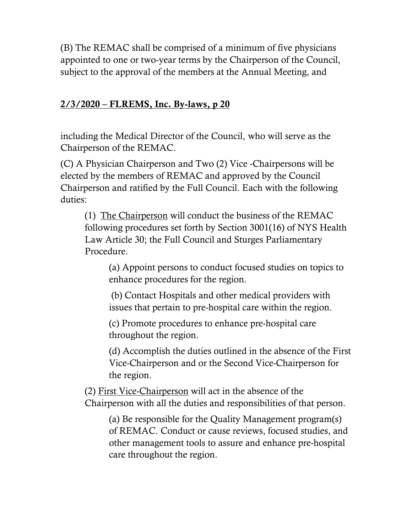(B) The REMAC shall be comprised of a minimum of five physicians appointed to one or two-year terms by the Chairperson of the Council, subject to the approval of the members at the Annual Meeting, and

### 2/3/2020 – FLREMS, Inc. By-laws, p 20

including the Medical Director of the Council, who will serve as the Chairperson of the REMAC.

(C) A Physician Chairperson and Two (2) Vice -Chairpersons will be elected by the members of REMAC and approved by the Council Chairperson and ratified by the Full Council. Each with the following duties:

(1) The Chairperson will conduct the business of the REMAC following procedures set forth by Section 3001(16) of NYS Health Law Article 30; the Full Council and Sturges Parliamentary Procedure.

(a) Appoint persons to conduct focused studies on topics to enhance procedures for the region.

(b) Contact Hospitals and other medical providers with issues that pertain to pre-hospital care within the region.

(c) Promote procedures to enhance pre-hospital care throughout the region.

(d) Accomplish the duties outlined in the absence of the First Vice-Chairperson and or the Second Vice-Chairperson for the region.

(2) First Vice-Chairperson will act in the absence of the Chairperson with all the duties and responsibilities of that person.

(a) Be responsible for the Quality Management program(s) of REMAC. Conduct or cause reviews, focused studies, and other management tools to assure and enhance pre-hospital care throughout the region.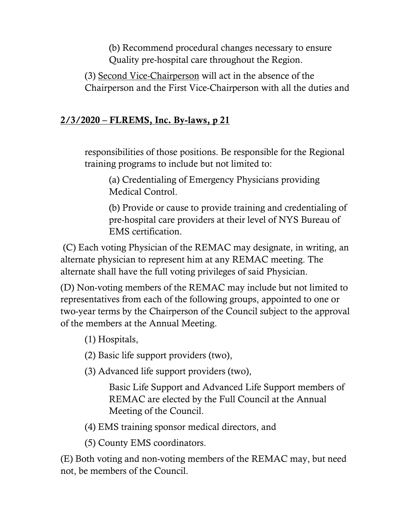(b) Recommend procedural changes necessary to ensure Quality pre-hospital care throughout the Region.

(3) Second Vice-Chairperson will act in the absence of the Chairperson and the First Vice-Chairperson with all the duties and

### 2/3/2020 – FLREMS, Inc. By-laws, p 21

responsibilities of those positions. Be responsible for the Regional training programs to include but not limited to:

(a) Credentialing of Emergency Physicians providing Medical Control.

(b) Provide or cause to provide training and credentialing of pre-hospital care providers at their level of NYS Bureau of EMS certification.

(C) Each voting Physician of the REMAC may designate, in writing, an alternate physician to represent him at any REMAC meeting. The alternate shall have the full voting privileges of said Physician.

(D) Non-voting members of the REMAC may include but not limited to representatives from each of the following groups, appointed to one or two-year terms by the Chairperson of the Council subject to the approval of the members at the Annual Meeting.

(1) Hospitals,

(2) Basic life support providers (two),

(3) Advanced life support providers (two),

Basic Life Support and Advanced Life Support members of REMAC are elected by the Full Council at the Annual Meeting of the Council.

(4) EMS training sponsor medical directors, and

(5) County EMS coordinators.

(E) Both voting and non-voting members of the REMAC may, but need not, be members of the Council.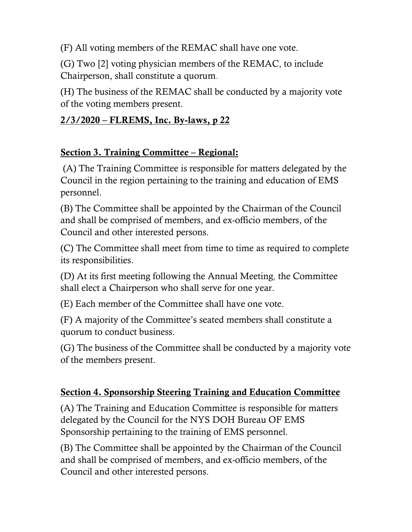(F) All voting members of the REMAC shall have one vote.

(G) Two [2] voting physician members of the REMAC, to include Chairperson, shall constitute a quorum.

(H) The business of the REMAC shall be conducted by a majority vote of the voting members present.

#### 2/3/2020 – FLREMS, Inc. By-laws, p 22

### Section 3. Training Committee – Regional:

(A) The Training Committee is responsible for matters delegated by the Council in the region pertaining to the training and education of EMS personnel.

(B) The Committee shall be appointed by the Chairman of the Council and shall be comprised of members, and ex-officio members, of the Council and other interested persons.

(C) The Committee shall meet from time to time as required to complete its responsibilities.

(D) At its first meeting following the Annual Meeting, the Committee shall elect a Chairperson who shall serve for one year.

(E) Each member of the Committee shall have one vote.

(F) A majority of the Committee's seated members shall constitute a quorum to conduct business.

(G) The business of the Committee shall be conducted by a majority vote of the members present.

#### Section 4. Sponsorship Steering Training and Education Committee

(A) The Training and Education Committee is responsible for matters delegated by the Council for the NYS DOH Bureau OF EMS Sponsorship pertaining to the training of EMS personnel.

(B) The Committee shall be appointed by the Chairman of the Council and shall be comprised of members, and ex-officio members, of the Council and other interested persons.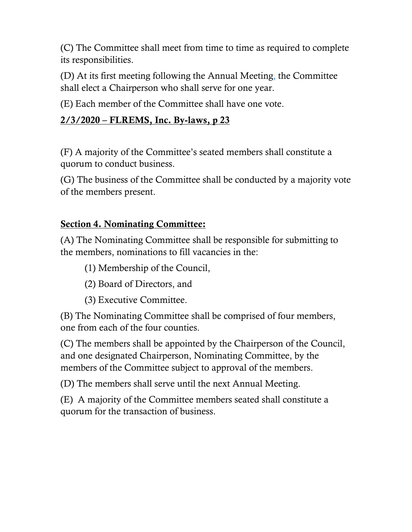(C) The Committee shall meet from time to time as required to complete its responsibilities.

(D) At its first meeting following the Annual Meeting, the Committee shall elect a Chairperson who shall serve for one year.

(E) Each member of the Committee shall have one vote.

### 2/3/2020 – FLREMS, Inc. By-laws, p 23

(F) A majority of the Committee's seated members shall constitute a quorum to conduct business.

(G) The business of the Committee shall be conducted by a majority vote of the members present.

### Section 4. Nominating Committee:

(A) The Nominating Committee shall be responsible for submitting to the members, nominations to fill vacancies in the:

- (1) Membership of the Council,
- (2) Board of Directors, and
- (3) Executive Committee.

(B) The Nominating Committee shall be comprised of four members, one from each of the four counties.

(C) The members shall be appointed by the Chairperson of the Council, and one designated Chairperson, Nominating Committee, by the members of the Committee subject to approval of the members.

(D) The members shall serve until the next Annual Meeting.

(E) A majority of the Committee members seated shall constitute a quorum for the transaction of business.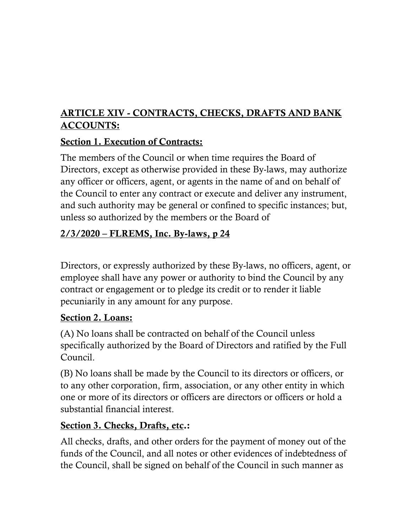## ARTICLE XIV - CONTRACTS, CHECKS, DRAFTS AND BANK ACCOUNTS:

### Section 1. Execution of Contracts:

The members of the Council or when time requires the Board of Directors, except as otherwise provided in these By-laws, may authorize any officer or officers, agent, or agents in the name of and on behalf of the Council to enter any contract or execute and deliver any instrument, and such authority may be general or confined to specific instances; but, unless so authorized by the members or the Board of

## 2/3/2020 – FLREMS, Inc. By-laws, p 24

Directors, or expressly authorized by these By-laws, no officers, agent, or employee shall have any power or authority to bind the Council by any contract or engagement or to pledge its credit or to render it liable pecuniarily in any amount for any purpose.

### Section 2. Loans:

(A) No loans shall be contracted on behalf of the Council unless specifically authorized by the Board of Directors and ratified by the Full Council.

(B) No loans shall be made by the Council to its directors or officers, or to any other corporation, firm, association, or any other entity in which one or more of its directors or officers are directors or officers or hold a substantial financial interest.

### Section 3. Checks, Drafts, etc.:

All checks, drafts, and other orders for the payment of money out of the funds of the Council, and all notes or other evidences of indebtedness of the Council, shall be signed on behalf of the Council in such manner as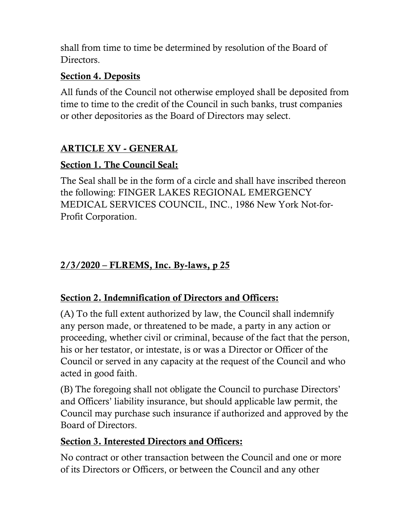shall from time to time be determined by resolution of the Board of Directors.

### Section 4. Deposits

All funds of the Council not otherwise employed shall be deposited from time to time to the credit of the Council in such banks, trust companies or other depositories as the Board of Directors may select.

## ARTICLE XV - GENERAL

### Section 1. The Council Seal:

The Seal shall be in the form of a circle and shall have inscribed thereon the following: FINGER LAKES REGIONAL EMERGENCY MEDICAL SERVICES COUNCIL, INC., 1986 New York Not-for-Profit Corporation.

## 2/3/2020 – FLREMS, Inc. By-laws, p 25

### Section 2. Indemnification of Directors and Officers:

(A) To the full extent authorized by law, the Council shall indemnify any person made, or threatened to be made, a party in any action or proceeding, whether civil or criminal, because of the fact that the person, his or her testator, or intestate, is or was a Director or Officer of the Council or served in any capacity at the request of the Council and who acted in good faith.

(B) The foregoing shall not obligate the Council to purchase Directors' and Officers' liability insurance, but should applicable law permit, the Council may purchase such insurance if authorized and approved by the Board of Directors.

### Section 3. Interested Directors and Officers:

No contract or other transaction between the Council and one or more of its Directors or Officers, or between the Council and any other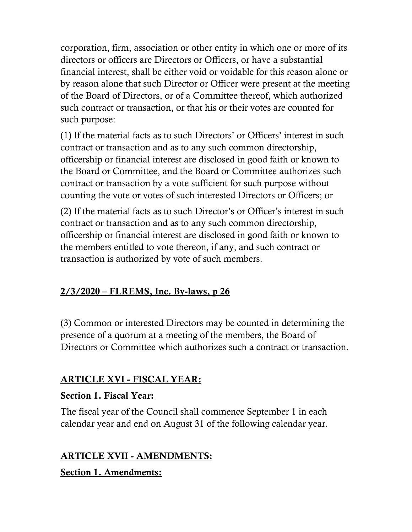corporation, firm, association or other entity in which one or more of its directors or officers are Directors or Officers, or have a substantial financial interest, shall be either void or voidable for this reason alone or by reason alone that such Director or Officer were present at the meeting of the Board of Directors, or of a Committee thereof, which authorized such contract or transaction, or that his or their votes are counted for such purpose:

(1) If the material facts as to such Directors' or Officers' interest in such contract or transaction and as to any such common directorship, officership or financial interest are disclosed in good faith or known to the Board or Committee, and the Board or Committee authorizes such contract or transaction by a vote sufficient for such purpose without counting the vote or votes of such interested Directors or Officers; or

(2) If the material facts as to such Director's or Officer's interest in such contract or transaction and as to any such common directorship, officership or financial interest are disclosed in good faith or known to the members entitled to vote thereon, if any, and such contract or transaction is authorized by vote of such members.

### 2/3/2020 – FLREMS, Inc. By-laws, p 26

(3) Common or interested Directors may be counted in determining the presence of a quorum at a meeting of the members, the Board of Directors or Committee which authorizes such a contract or transaction.

### ARTICLE XVI - FISCAL YEAR:

### Section 1. Fiscal Year:

The fiscal year of the Council shall commence September 1 in each calendar year and end on August 31 of the following calendar year.

### ARTICLE XVII - AMENDMENTS:

Section 1. Amendments: